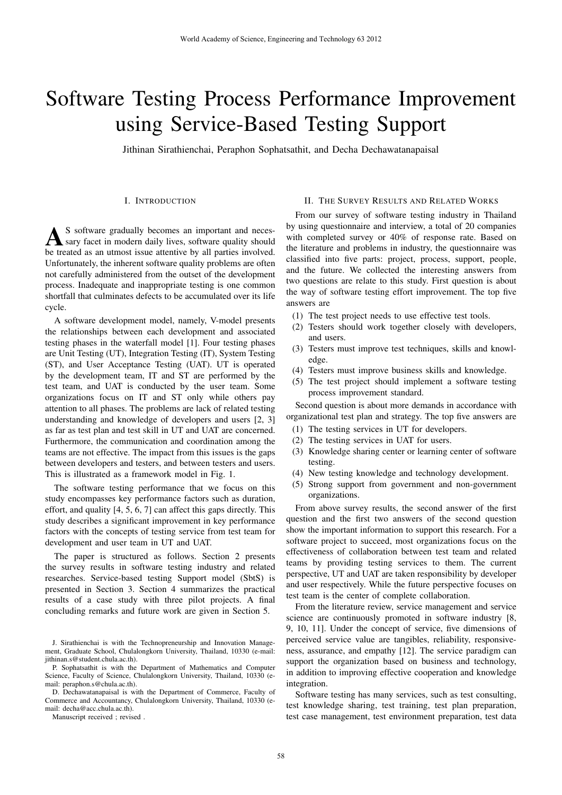# Software Testing Process Performance Improvement using Service-Based Testing Support

Jithinan Sirathienchai, Peraphon Sophatsathit, and Decha Dechawatanapaisal

# I. INTRODUCTION

A S software gradually becomes an important and neces-<br>be treated as an utmost issue attentive by all parties involved. S software gradually becomes an important and necessary facet in modern daily lives, software quality should Unfortunately, the inherent software quality problems are often not carefully administered from the outset of the development process. Inadequate and inappropriate testing is one common shortfall that culminates defects to be accumulated over its life cycle.

A software development model, namely, V-model presents the relationships between each development and associated testing phases in the waterfall model [1]. Four testing phases are Unit Testing (UT), Integration Testing (IT), System Testing (ST), and User Acceptance Testing (UAT). UT is operated by the development team, IT and ST are performed by the test team, and UAT is conducted by the user team. Some organizations focus on IT and ST only while others pay attention to all phases. The problems are lack of related testing understanding and knowledge of developers and users [2, 3] as far as test plan and test skill in UT and UAT are concerned. Furthermore, the communication and coordination among the teams are not effective. The impact from this issues is the gaps between developers and testers, and between testers and users. This is illustrated as a framework model in Fig. 1.

The software testing performance that we focus on this study encompasses key performance factors such as duration, effort, and quality [4, 5, 6, 7] can affect this gaps directly. This study describes a significant improvement in key performance factors with the concepts of testing service from test team for development and user team in UT and UAT.

The paper is structured as follows. Section 2 presents the survey results in software testing industry and related researches. Service-based testing Support model (SbtS) is presented in Section 3. Section 4 summarizes the practical results of a case study with three pilot projects. A final concluding remarks and future work are given in Section 5.

Manuscript received ; revised .

### II. THE SURVEY RESULTS AND RELATED WORKS

From our survey of software testing industry in Thailand by using questionnaire and interview, a total of 20 companies with completed survey or 40% of response rate. Based on the literature and problems in industry, the questionnaire was classified into five parts: project, process, support, people, and the future. We collected the interesting answers from two questions are relate to this study. First question is about the way of software testing effort improvement. The top five answers are

- (1) The test project needs to use effective test tools.
- (2) Testers should work together closely with developers, and users.
- (3) Testers must improve test techniques, skills and knowledge.
- (4) Testers must improve business skills and knowledge.
- (5) The test project should implement a software testing process improvement standard.

Second question is about more demands in accordance with organizational test plan and strategy. The top five answers are

- (1) The testing services in UT for developers.
- (2) The testing services in UAT for users.
- (3) Knowledge sharing center or learning center of software testing.
- (4) New testing knowledge and technology development.
- (5) Strong support from government and non-government organizations.

From above survey results, the second answer of the first question and the first two answers of the second question show the important information to support this research. For a software project to succeed, most organizations focus on the effectiveness of collaboration between test team and related teams by providing testing services to them. The current perspective, UT and UAT are taken responsibility by developer and user respectively. While the future perspective focuses on test team is the center of complete collaboration.

From the literature review, service management and service science are continuously promoted in software industry [8, 9, 10, 11]. Under the concept of service, five dimensions of perceived service value are tangibles, reliability, responsiveness, assurance, and empathy [12]. The service paradigm can support the organization based on business and technology, in addition to improving effective cooperation and knowledge integration.

Software testing has many services, such as test consulting, test knowledge sharing, test training, test plan preparation, test case management, test environment preparation, test data

J. Sirathienchai is with the Technopreneurship and Innovation Management, Graduate School, Chulalongkorn University, Thailand, 10330 (e-mail: jithinan.s@student.chula.ac.th).

P. Sophatsathit is with the Department of Mathematics and Computer Science, Faculty of Science, Chulalongkorn University, Thailand, 10330 (email: peraphon.s@chula.ac.th).

D. Dechawatanapaisal is with the Department of Commerce, Faculty of Commerce and Accountancy, Chulalongkorn University, Thailand, 10330 (email: decha@acc.chula.ac.th).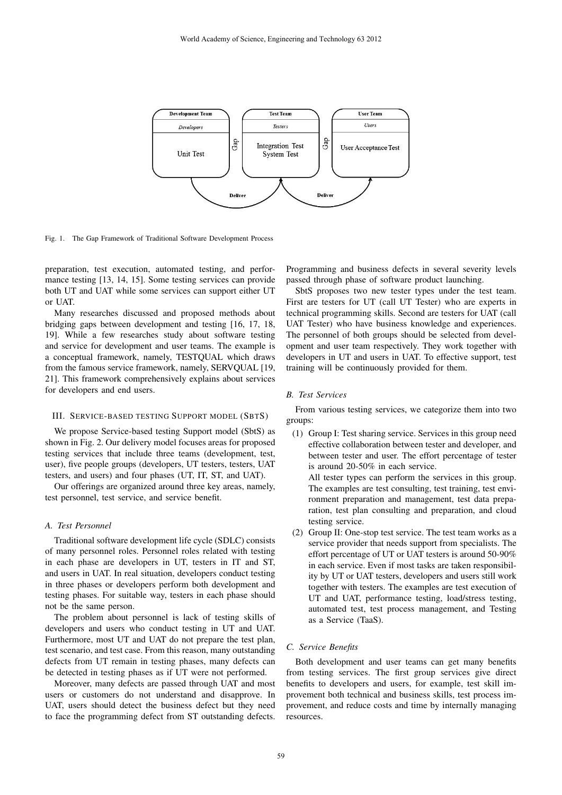

Fig. 1. The Gap Framework of Traditional Software Development Process

preparation, test execution, automated testing, and performance testing [13, 14, 15]. Some testing services can provide both UT and UAT while some services can support either UT or UAT.

Many researches discussed and proposed methods about bridging gaps between development and testing [16, 17, 18, 19]. While a few researches study about software testing and service for development and user teams. The example is a conceptual framework, namely, TESTQUAL which draws from the famous service framework, namely, SERVQUAL [19, 21]. This framework comprehensively explains about services for developers and end users.

### III. SERVICE-BASED TESTING SUPPORT MODEL (SBTS)

We propose Service-based testing Support model (SbtS) as shown in Fig. 2. Our delivery model focuses areas for proposed testing services that include three teams (development, test, user), five people groups (developers, UT testers, testers, UAT testers, and users) and four phases (UT, IT, ST, and UAT).

Our offerings are organized around three key areas, namely, test personnel, test service, and service benefit.

## *A. Test Personnel*

Traditional software development life cycle (SDLC) consists of many personnel roles. Personnel roles related with testing in each phase are developers in UT, testers in IT and ST, and users in UAT. In real situation, developers conduct testing in three phases or developers perform both development and testing phases. For suitable way, testers in each phase should not be the same person.

The problem about personnel is lack of testing skills of developers and users who conduct testing in UT and UAT. Furthermore, most UT and UAT do not prepare the test plan, test scenario, and test case. From this reason, many outstanding defects from UT remain in testing phases, many defects can be detected in testing phases as if UT were not performed.

Moreover, many defects are passed through UAT and most users or customers do not understand and disapprove. In UAT, users should detect the business defect but they need to face the programming defect from ST outstanding defects.

Programming and business defects in several severity levels passed through phase of software product launching.

SbtS proposes two new tester types under the test team. First are testers for UT (call UT Tester) who are experts in technical programming skills. Second are testers for UAT (call UAT Tester) who have business knowledge and experiences. The personnel of both groups should be selected from development and user team respectively. They work together with developers in UT and users in UAT. To effective support, test training will be continuously provided for them.

# *B. Test Services*

From various testing services, we categorize them into two groups:

(1) Group I: Test sharing service. Services in this group need effective collaboration between tester and developer, and between tester and user. The effort percentage of tester is around 20-50% in each service.

All tester types can perform the services in this group. The examples are test consulting, test training, test environment preparation and management, test data preparation, test plan consulting and preparation, and cloud testing service.

(2) Group II: One-stop test service. The test team works as a service provider that needs support from specialists. The effort percentage of UT or UAT testers is around 50-90% in each service. Even if most tasks are taken responsibility by UT or UAT testers, developers and users still work together with testers. The examples are test execution of UT and UAT, performance testing, load/stress testing, automated test, test process management, and Testing as a Service (TaaS).

#### *C. Service Benefits*

Both development and user teams can get many benefits from testing services. The first group services give direct benefits to developers and users, for example, test skill improvement both technical and business skills, test process improvement, and reduce costs and time by internally managing resources.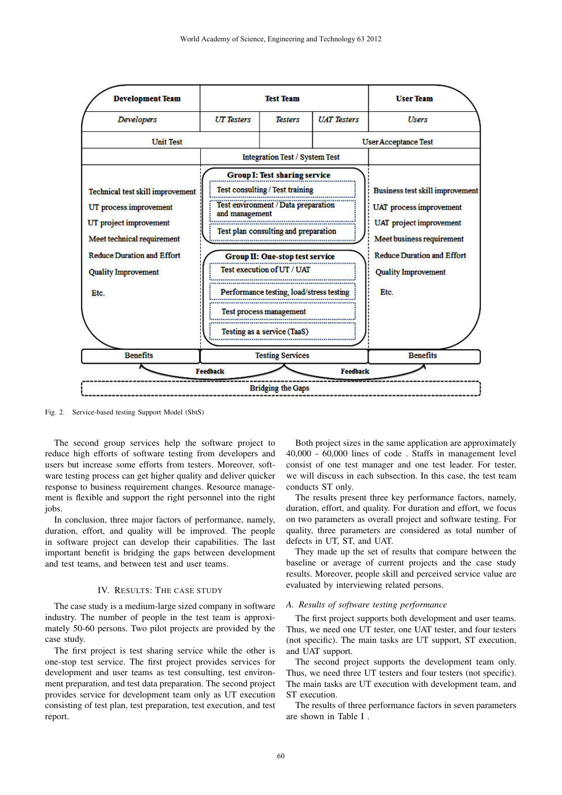

Fig. 2. Service-based testing Support Model (SbtS)

The second group services help the software project to reduce high efforts of software testing from developers and users but increase some efforts from testers. Moreover, software testing process can get higher quality and deliver quicker response to business requirement changes. Resource management is flexible and support the right personnel into the right jobs.

In conclusion, three major factors of performance, namely, duration, effort, and quality will be improved. The people in software project can develop their capabilities. The last important benefit is bridging the gaps between development and test teams, and between test and user teams.

#### IV. RESULTS: THE CASE STUDY

The case study is a medium-large sized company in software industry. The number of people in the test team is approximately 50-60 persons. Two pilot projects are provided by the case study.

The first project is test sharing service while the other is one-stop test service. The first project provides services for development and user teams as test consulting, test environment preparation, and test data preparation. The second project provides service for development team only as UT execution consisting of test plan, test preparation, test execution, and test report.

Both project sizes in the same application are approximately 40,000 - 60,000 lines of code . Staffs in management level consist of one test manager and one test leader. For tester, we will discuss in each subsection. In this case, the test team conducts ST only.

The results present three key performance factors, namely, duration, effort, and quality. For duration and effort, we focus on two parameters as overall project and software testing. For quality, three parameters are considered as total number of defects in UT, ST, and UAT.

They made up the set of results that compare between the baseline or average of current projects and the case study results. Moreover, people skill and perceived service value are evaluated by interviewing related persons.

#### *A. Results of software testing performance*

The first project supports both development and user teams. Thus, we need one UT tester, one UAT tester, and four testers (not specific). The main tasks are UT support, ST execution, and UAT support.

The second project supports the development team only. Thus, we need three UT testers and four testers (not specific). The main tasks are UT execution with development team, and ST execution.

The results of three performance factors in seven parameters are shown in Table I .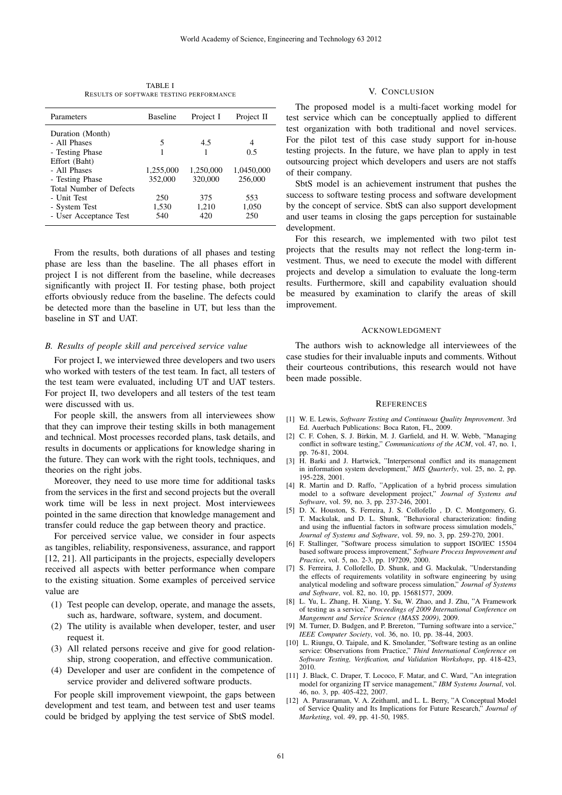TABLE I RESULTS OF SOFTWARE TESTING PERFORMANCE

| Parameters                     | <b>Baseline</b> | Project I | Project II |
|--------------------------------|-----------------|-----------|------------|
| Duration (Month)               |                 |           |            |
| - All Phases                   | 5               | 4.5       | 4          |
| - Testing Phase                |                 |           | 0.5        |
| Effort (Baht)                  |                 |           |            |
| - All Phases                   | 1,255,000       | 1.250.000 | 1.0450.000 |
| - Testing Phase                | 352,000         | 320,000   | 256,000    |
| <b>Total Number of Defects</b> |                 |           |            |
| - Unit Test                    | 250             | 375       | 553        |
| - System Test                  | 1,530           | 1,210     | 1,050      |
| - User Acceptance Test         | 540             | 420       | 250        |

From the results, both durations of all phases and testing phase are less than the baseline. The all phases effort in project I is not different from the baseline, while decreases significantly with project II. For testing phase, both project efforts obviously reduce from the baseline. The defects could be detected more than the baseline in UT, but less than the baseline in ST and UAT.

#### *B. Results of people skill and perceived service value*

For project I, we interviewed three developers and two users who worked with testers of the test team. In fact, all testers of the test team were evaluated, including UT and UAT testers. For project II, two developers and all testers of the test team were discussed with us.

For people skill, the answers from all interviewees show that they can improve their testing skills in both management and technical. Most processes recorded plans, task details, and results in documents or applications for knowledge sharing in the future. They can work with the right tools, techniques, and theories on the right jobs.

Moreover, they need to use more time for additional tasks from the services in the first and second projects but the overall work time will be less in next project. Most interviewees pointed in the same direction that knowledge management and transfer could reduce the gap between theory and practice.

For perceived service value, we consider in four aspects as tangibles, reliability, responsiveness, assurance, and rapport [12, 21]. All participants in the projects, especially developers received all aspects with better performance when compare to the existing situation. Some examples of perceived service value are

- (1) Test people can develop, operate, and manage the assets, such as, hardware, software, system, and document.
- (2) The utility is available when developer, tester, and user request it.
- (3) All related persons receive and give for good relationship, strong cooperation, and effective communication.
- (4) Developer and user are confident in the competence of service provider and delivered software products.

For people skill improvement viewpoint, the gaps between development and test team, and between test and user teams could be bridged by applying the test service of SbtS model.

# V. CONCLUSION

The proposed model is a multi-facet working model for test service which can be conceptually applied to different test organization with both traditional and novel services. For the pilot test of this case study support for in-house testing projects. In the future, we have plan to apply in test outsourcing project which developers and users are not staffs of their company.

SbtS model is an achievement instrument that pushes the success to software testing process and software development by the concept of service. SbtS can also support development and user teams in closing the gaps perception for sustainable development.

For this research, we implemented with two pilot test projects that the results may not reflect the long-term investment. Thus, we need to execute the model with different projects and develop a simulation to evaluate the long-term results. Furthermore, skill and capability evaluation should be measured by examination to clarify the areas of skill improvement.

#### ACKNOWLEDGMENT

The authors wish to acknowledge all interviewees of the case studies for their invaluable inputs and comments. Without their courteous contributions, this research would not have been made possible.

#### **REFERENCES**

- [1] W. E. Lewis, *Software Testing and Continuous Quality Improvement*. 3rd Ed. Auerbach Publications: Boca Raton, FL, 2009.
- [2] C. F. Cohen, S. J. Birkin, M. J. Garfield, and H. W. Webb, "Managing conflict in software testing," *Communications of the ACM*, vol. 47, no. 1, pp. 76-81, 2004.
- [3] H. Barki and J. Hartwick, "Interpersonal conflict and its management in information system development," *MIS Quarterly*, vol. 25, no. 2, pp. 195-228, 2001.
- [4] R. Martin and D. Raffo, "Application of a hybrid process simulation model to a software development project," *Journal of Systems and Software*, vol. 59, no. 3, pp. 237-246, 2001.
- [5] D. X. Houston, S. Ferreira, J. S. Collofello , D. C. Montgomery, G. T. Mackulak, and D. L. Shunk, "Behavioral characterization: finding and using the influential factors in software process simulation models, *Journal of Systems and Software*, vol. 59, no. 3, pp. 259-270, 2001.
- [6] F. Stallinger, "Software process simulation to support ISO/IEC 15504 based software process improvement," *Software Process Improvement and Practice*, vol. 5, no. 2-3, pp. 197209, 2000.
- [7] S. Ferreira, J. Collofello, D. Shunk, and G. Mackulak, "Understanding the effects of requirements volatility in software engineering by using analytical modeling and software process simulation," *Journal of Systems and Software*, vol. 82, no. 10, pp. 15681577, 2009.
- [8] L. Yu, L. Zhang, H. Xiang, Y. Su, W. Zhao, and J. Zhu, "A Framework of testing as a service," *Proceedings of 2009 International Conference on Mangement and Service Science (MASS 2009)*, 2009.
- [9] M. Turner, D. Budgen, and P. Brereton, "Turning software into a service," *IEEE Computer Society*, vol. 36, no. 10, pp. 38-44, 2003.
- [10] L. Riungu, O. Taipale, and K. Smolander, "Software testing as an online service: Observations from Practice," *Third International Conference on Software Testing, Verification, and Validation Workshops*, pp. 418-423, 2010.
- [11] J. Black, C. Draper, T. Lococo, F. Matar, and C. Ward, "An integration model for organizing IT service management," *IBM Systems Journal*, vol. 46, no. 3, pp. 405-422, 2007.
- [12] A. Parasuraman, V. A. Zeithaml, and L. L. Berry, "A Conceptual Model of Service Quality and Its Implications for Future Research," *Journal of Marketing*, vol. 49, pp. 41-50, 1985.